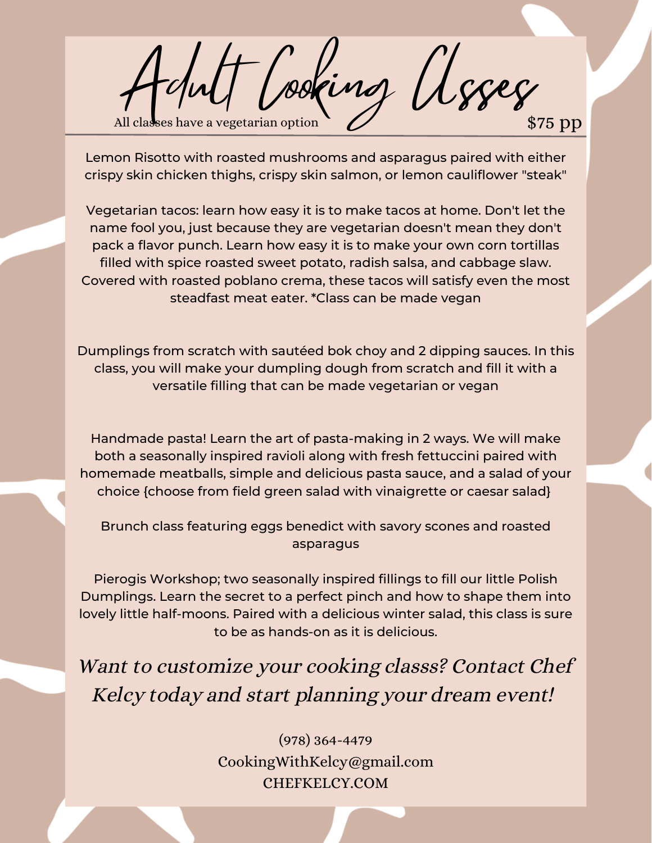Vooring Asses e a vegetarian option  $\sim$  22 pp s  $\sim$  575 pp s  $\sim$ 

Lemon Risotto with roasted mushrooms and asparagus paired with either crispy skin chicken thighs, crispy skin salmon, or lemon cauliflower "steak"

Vegetarian tacos: learn how easy it is to make tacos at home. Don't let the name fool you, just because they are vegetarian doesn't mean they don't pack a flavor punch. Learn how easy it is to make your own corn tortillas filled with spice roasted sweet potato, radish salsa, and cabbage slaw. Covered with roasted poblano crema, these tacos will satisfy even the most steadfast meat eater. \*Class can be made vegan

Dumplings from scratch with sautéed bok choy and 2 dipping sauces. In this class, you will make your dumpling dough from scratch and fill it with a versatile filling that can be made vegetarian or vegan

Handmade pasta! Learn the art of pasta-making in 2 ways. We will make both a seasonally inspired ravioli along with fresh fettuccini paired with homemade meatballs, simple and delicious pasta sauce, and a salad of your choice {choose from field green salad with vinaigrette or caesar salad}

Brunch class featuring eggs benedict with savory scones and roasted asparagus

Pierogis Workshop; two seasonally inspired fillings to fill our little Polish Dumplings. Learn the secret to a perfect pinch and how to shape them into lovely little half-moons. Paired with a delicious winter salad, this class is sure to be as hands-on as it is delicious.

Want to customize your cooking classs? Contact Chef Kelcy today and start planning your dream event!

> (978) 364-4479 CookingWithKelcy@gmail.com CHEFKELCY.COM